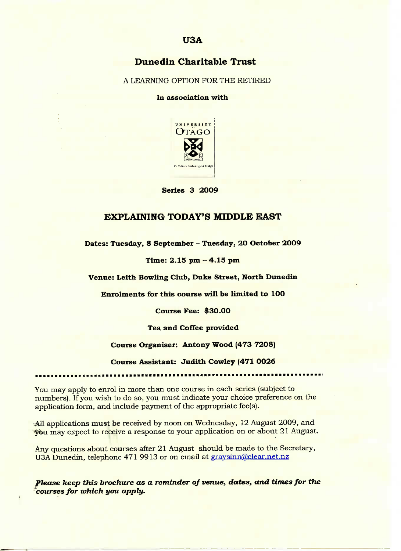## Dunedin **Charitable Trust**

A LEARNING OPTION FOR THE RETIRED

**in association with**



Series 3 2009

## **EXPLAINING TODAY'S MIDDLE** EAST

**Dates: Tuesday, 8 September** *-* **Tuesday, 2O October 2OO9**

**Time: 2.15 pm - 4.15 pm**

**Venue: Leith Bowling Club, Duke Street, North Dunedin**

**Enrolments for this course will be limited to 1OO**

**Course Fee: \$30.0O**

**Tea and Coffee provided**

**Course Organiser: Antony Wood (473 7208)**

**Course Assistant: Judith Cowley (471 0026**

You may apply to enrol in more than one course in each series (subject to numbers). If you wish to do so, you must indicate your choice preference on the application form, and include payment of the appropriate fee(s).

All applications must be received by noon on Wednesday, 12 August 2009, and may expect to receive a response to your application on or about 21 August.

Any questions about courses after 21 August should be made to the Secretary, USA Dunedin, telephone 471 9913 or on email at gravsinn@clear.net.nz

*Please keep this brochure as a reminder of venue,* **dates,** *and times for the courses for which you apply.*